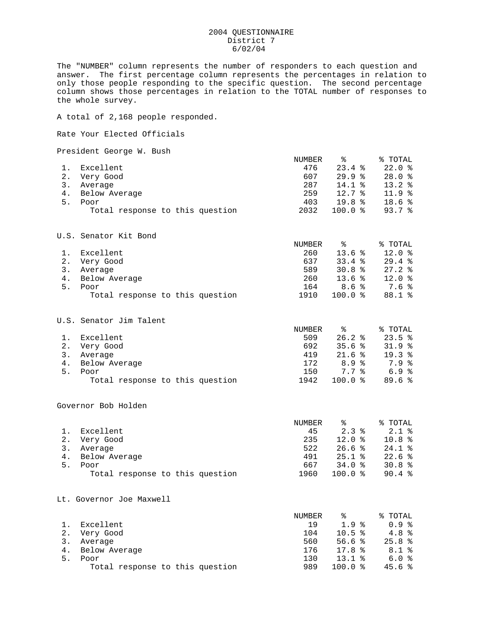## 2004 QUESTIONNAIRE District 7 6/02/04

The "NUMBER" column represents the number of responders to each question and answer. The first percentage column represents the percentages in relation to only those people responding to the specific question. The second percentage column shows those percentages in relation to the TOTAL number of responses to the whole survey.

A total of 2,168 people responded.

Rate Your Elected Officials

President George W. Bush

|       | IICDIQCIIC OCOIYC N. DUDII      |        |                      |            |
|-------|---------------------------------|--------|----------------------|------------|
|       |                                 | NUMBER | ⊱                    | % TOTAL    |
| 1.    | Excellent                       | 476    | 23.4%                | 22.0%      |
| $2$ . | Very Good                       | 607    | 29.9%                | 28.0%      |
| 3.    | Average                         | 287    | $14.1$ $%$           | 13.2%      |
| 4.    | Below Average                   | 259    | $12.7*$              | $11.9$ $%$ |
| 5.    | Poor                            | 403    | 19.8%                | 18.6%      |
|       | Total response to this question | 2032   | 100.0%               | 93.7%      |
|       | U.S. Senator Kit Bond           |        |                      |            |
|       |                                 | NUMBER | ႜ                    | % TOTAL    |
| 1.    | Excellent                       | 260    | 13.6%                | $12.0*$    |
| 2.    | Very Good                       | 637    | 33.4%                | 29.4%      |
| 3.    | Average                         | 589    | 30.8%                | 27.2%      |
| 4.    | Below Average                   | 260    | 13.6 <sup>8</sup>    | $12.0*$    |
| 5.    | Poor                            | 164    | 8.6%                 | 7.6%       |
|       | Total response to this question | 1910   | 100.0%               | 88.1 %     |
|       | U.S. Senator Jim Talent         |        |                      |            |
|       |                                 | NUMBER | ႜ                    | % TOTAL    |
| 1.    | Excellent                       | 509    | $26.2*$              | 23.5%      |
| $2$ . | Very Good                       | 692    | 35.6%                | 31.9%      |
|       |                                 |        | $\sim$ $\sim$ $\sim$ |            |

 3. Average 419 21.6 % 19.3 % 4. Below Average 172 8.9 % 7.9 % 5. Poor 150 7.7 % 6.9 % Total response to this question 1942 100.0 % 89.6 %

Governor Bob Holden

|    |                                 | NUMBER | °                 | % TOTAL  |
|----|---------------------------------|--------|-------------------|----------|
|    | Excellent                       | 45     | $2.3*$            | $2.1*$   |
|    | Very Good                       | 235    | $12.0*$           | 10.8%    |
|    | Average                         | 522    | 26.6%             | $24.1$ % |
| 4. | Below Average                   | 491    | $25.1$ $\approx$  | 22.6%    |
| 5. | Poor                            | 667    | 34.0%             | 30.8%    |
|    | Total response to this question | 1960   | $100.0$ $\approx$ | 90.4%    |

Lt. Governor Joe Maxwell

|    |                                 | NUMBER | ిన         | % TOTAL |
|----|---------------------------------|--------|------------|---------|
|    | Excellent                       | 19     | $1.9*$     | 0.9%    |
|    | Very Good                       | 104    | 10.5%      | $4.8*$  |
|    | Average                         | 560    | 56.6%      | 25.8%   |
| 4. | Below Average                   | 176    | 17.8%      | $8.1*$  |
| 5. | Poor                            | 130    | $13.1$ $%$ | 6.0%    |
|    | Total response to this question | 989    | 1 በበ.በ *   | 45.6%   |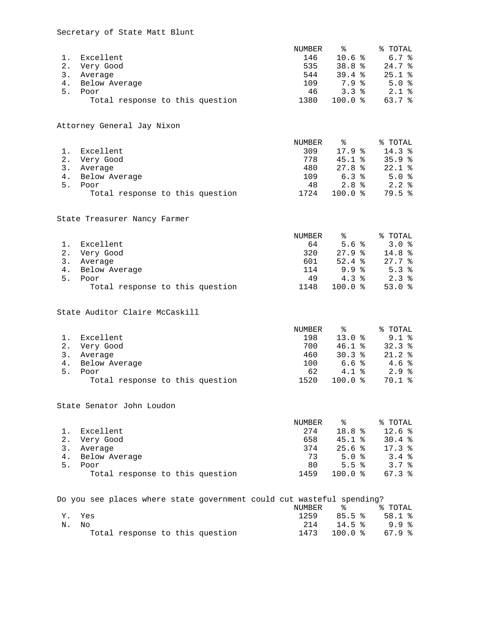## Secretary of State Matt Blunt

|                | 1. Excellent<br>2. Very Good<br>3. Average<br>4. Below Average<br>5. Poor<br>Total response to this question | NUMBER<br>146<br>535<br>544<br>109<br>46<br>1380 | ఄ<br>10.6%<br>38.8%<br>39.4%<br>$7.9*$<br>3.3%<br>100.0 %           | % TOTAL<br>6.7%<br>24.7%<br>$25.1$ %<br>5.0%<br>2.1%<br>63.7%  |
|----------------|--------------------------------------------------------------------------------------------------------------|--------------------------------------------------|---------------------------------------------------------------------|----------------------------------------------------------------|
|                | Attorney General Jay Nixon                                                                                   |                                                  |                                                                     |                                                                |
|                | 1. Excellent<br>2. Very Good<br>3. Average<br>4. Below Average<br>5. Poor<br>Total response to this question | NUMBER<br>309<br>778<br>480<br>109<br>48<br>1724 | ಿ<br>17.9%<br>45.1%<br>27.8%<br>6.3%<br>2.8 <sup>8</sup><br>100.0 % | % TOTAL<br>14.3 %<br>35.9%<br>$22.1*$<br>5.0%<br>2.2%<br>79.5% |
|                | State Treasurer Nancy Farmer                                                                                 |                                                  |                                                                     |                                                                |
| 1.<br>5.       | Excellent<br>2. Very Good<br>3. Average<br>4. Below Average<br>Poor<br>Total response to this question       | NUMBER<br>64<br>320<br>601<br>114<br>49<br>1148  | ႜ<br>5.6%<br>27.9%<br>52.4%<br>9.9%<br>$4.3*$<br>100.0%             | % TOTAL<br>3.0%<br>14.8%<br>27.7%<br>5.3%<br>2.3%<br>53.0%     |
|                | State Auditor Claire McCaskill                                                                               |                                                  |                                                                     |                                                                |
| 4.<br>5.       | 1. Excellent<br>2. Very Good<br>3. Average<br>Below Average<br>Poor<br>Total response to this question       | NUMBER<br>198<br>700<br>460<br>100<br>62<br>1520 | ႜ<br>13.0%<br>46.1%<br>30.3%<br>6.6%<br>4.1%<br>100.0%              | % TOTAL<br>$9.1*$<br>32.3%<br>21.2%<br>4.6%<br>2.9%<br>70.1%   |
|                | State Senator John Loudon                                                                                    |                                                  |                                                                     |                                                                |
| 1.<br>2.<br>5. | Excellent<br>Very Good<br>3.<br>Average<br>4. Below Average<br>Poor<br>Total response to this question       | NUMBER<br>274<br>658<br>374<br>73<br>80<br>1459  | ಿ<br>18.8 %<br>45.1%<br>25.6%<br>5.0%<br>5.5%<br>100.0%             | % TOTAL<br>12.6%<br>30.4%<br>17.3%<br>3.4%<br>3.7%<br>67.3%    |
|                | Do you see places where state government could cut wasteful spending?                                        | NUMBER                                           | ి                                                                   | % TOTAL                                                        |
| Υ.<br>Ν.       | Yes<br>No                                                                                                    | 1259<br>214                                      | 85.5%<br>14.5%                                                      | 58.1%<br>9.9%                                                  |

Total response to this question 1473 100.0 % 67.9 %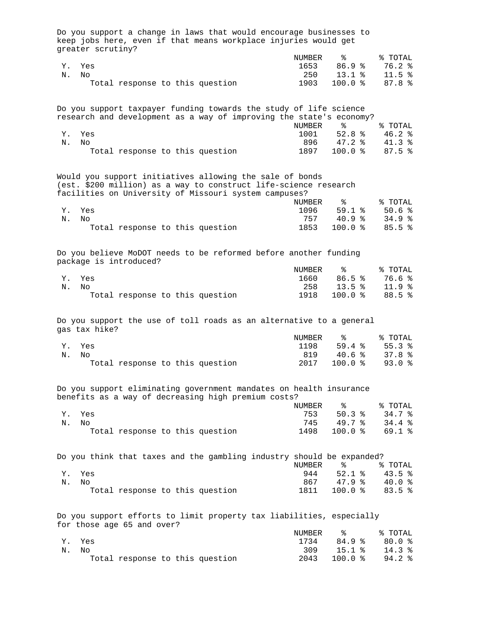| Do you support a change in laws that would encourage businesses to<br>keep jobs here, even if that means workplace injuries would get<br>greater scrutiny?                            |               |                 |                   |
|---------------------------------------------------------------------------------------------------------------------------------------------------------------------------------------|---------------|-----------------|-------------------|
|                                                                                                                                                                                       | NUMBER        | ိဝ              | % TOTAL           |
| Yes<br>Υ.                                                                                                                                                                             | 1653          | 86.9%           | 76.2%             |
| Ν.<br>Nο                                                                                                                                                                              | 250           | 13.1%           | 11.5%             |
| Total response to this question                                                                                                                                                       | 1903          | 100.0%          | 87.8%             |
| Do you support taxpayer funding towards the study of life science<br>research and development as a way of improving the state's economy?                                              | <b>NUMBER</b> | ిక              | % TOTAL           |
| Υ.<br>Yes                                                                                                                                                                             | 1001          | 52.8%           | $46.2*$           |
| Ν.<br>Nο                                                                                                                                                                              | 896           | 47.2%           | $41.3*$           |
| Total response to this question                                                                                                                                                       | 1897          | 100.0%          | 87.5%             |
| Would you support initiatives allowing the sale of bonds<br>(est. \$200 million) as a way to construct life-science research<br>facilities on University of Missouri system campuses? |               |                 |                   |
|                                                                                                                                                                                       | <b>NUMBER</b> | နွ              | % TOTAL           |
| Υ.<br>Yes                                                                                                                                                                             | 1096          | 59.1%           | 50.6%             |
| Ν.<br>No                                                                                                                                                                              | 757           | 40.9%           | 34.9%             |
| Total response to this question                                                                                                                                                       | 1853          | 100.0%          | 85.5%             |
| Do you believe MoDOT needs to be reformed before another funding<br>package is introduced?                                                                                            |               |                 |                   |
|                                                                                                                                                                                       | NUMBER        | ႜ               | % TOTAL           |
| Yes<br>Υ.                                                                                                                                                                             | 1660          | 86.5%           | 76.6%             |
| Ν.<br>No.                                                                                                                                                                             | 258           | 13.5%           | 11.9%             |
| Total response to this question                                                                                                                                                       | 1918          | 100.0%          | 88.5%             |
| Do you support the use of toll roads as an alternative to a general<br>gas tax hike?                                                                                                  |               |                 |                   |
|                                                                                                                                                                                       | NUMBER        | ႜ               | % TOTAL           |
| Υ.<br>Yes                                                                                                                                                                             | 1198          | 59.4%           | 55.3%             |
| Ν.<br>No                                                                                                                                                                              | 819           | 40.6%           | 37.8%             |
| Total response to this question                                                                                                                                                       | 2017          | 100.0%          | 93.0%             |
| Do you support eliminating government mandates on health insurance<br>benefits as a way of decreasing high premium costs?                                                             |               |                 |                   |
|                                                                                                                                                                                       | NUMBER        | ಿ               | % TOTAL           |
| Yes<br>Υ.                                                                                                                                                                             | 753           | 50.3%           | 34.7%             |
| Ν.<br>No                                                                                                                                                                              | 745           | 49.7%           | 34.4%             |
| Total response to this question                                                                                                                                                       | 1498          | 100.0%          | 69.1%             |
| Do you think that taxes and the gambling industry should be expanded?                                                                                                                 | NUMBER        | ిక              | % TOTAL           |
| Yes<br>Υ.                                                                                                                                                                             | 944           | 52.1%           | 43.5%             |
| Ν.<br>No                                                                                                                                                                              | 867           | 47.9%           | 40.0%             |
| Total response to this question                                                                                                                                                       | 1811          | 100.0%          | 83.5%             |
| Do you support efforts to limit property tax liabilities, especially<br>for those age 65 and over?                                                                                    |               |                 |                   |
|                                                                                                                                                                                       | NUMBER        | ిక              | % TOTAL           |
| Yes<br>Υ.                                                                                                                                                                             | 1734          | 84.9%           | 80.0%             |
| Ν.<br>No<br>Total response to this question                                                                                                                                           | 309<br>2043   | 15.1%<br>100.0% | 14.3%<br>$94.2$ % |
|                                                                                                                                                                                       |               |                 |                   |